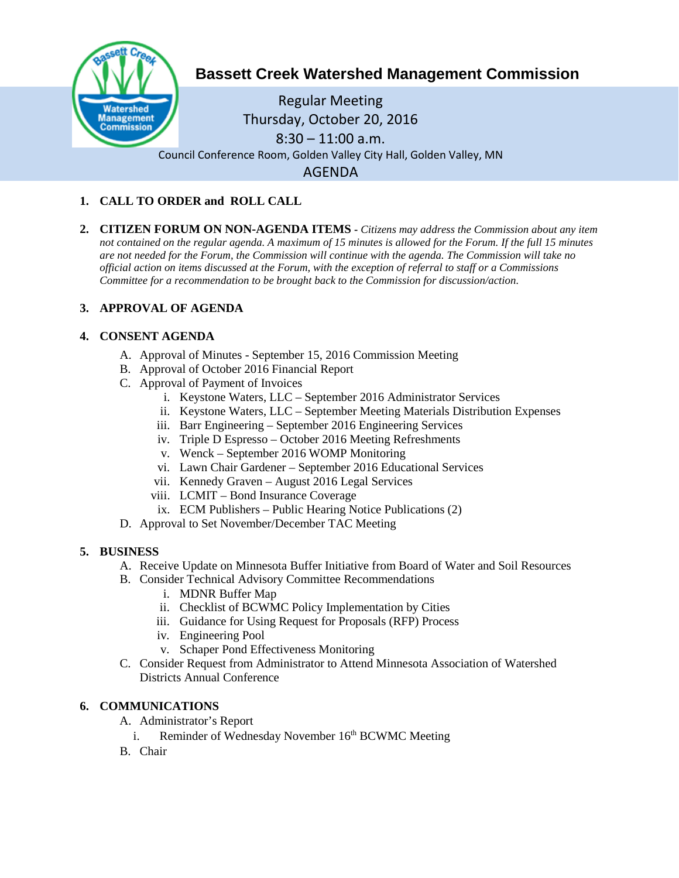

# **Bassett Creek Watershed Management Commission**

Regular Meeting Thursday, October 20, 2016  $8:30 - 11:00$  a.m. Council Conference Room, Golden Valley City Hall, Golden Valley, MN AGENDA

## **1. CALL TO ORDER and ROLL CALL**

**2. CITIZEN FORUM ON NON-AGENDA ITEMS -** *Citizens may address the Commission about any item not contained on the regular agenda. A maximum of 15 minutes is allowed for the Forum. If the full 15 minutes are not needed for the Forum, the Commission will continue with the agenda. The Commission will take no official action on items discussed at the Forum, with the exception of referral to staff or a Commissions Committee for a recommendation to be brought back to the Commission for discussion/action.*

## **3. APPROVAL OF AGENDA**

### **4. CONSENT AGENDA**

- A. Approval of Minutes September 15, 2016 Commission Meeting
- B. Approval of October 2016 Financial Report
- C. Approval of Payment of Invoices
	- i. Keystone Waters, LLC September 2016 Administrator Services
	- ii. Keystone Waters, LLC September Meeting Materials Distribution Expenses
	- iii. Barr Engineering September 2016 Engineering Services
	- iv. Triple D Espresso October 2016 Meeting Refreshments
	- v. Wenck September 2016 WOMP Monitoring
	- vi. Lawn Chair Gardener September 2016 Educational Services
	- vii. Kennedy Graven August 2016 Legal Services
	- viii. LCMIT Bond Insurance Coverage
	- ix. ECM Publishers Public Hearing Notice Publications (2)
- D. Approval to Set November/December TAC Meeting

### **5. BUSINESS**

- A. Receive Update on Minnesota Buffer Initiative from Board of Water and Soil Resources
- B. Consider Technical Advisory Committee Recommendations
	- i. MDNR Buffer Map
	- ii. Checklist of BCWMC Policy Implementation by Cities
	- iii. Guidance for Using Request for Proposals (RFP) Process
	- iv. Engineering Pool
	- v. Schaper Pond Effectiveness Monitoring
- C. Consider Request from Administrator to Attend Minnesota Association of Watershed Districts Annual Conference

### **6. COMMUNICATIONS**

- A. Administrator's Report
	- i. Reminder of Wednesday November 16th BCWMC Meeting
- B. Chair